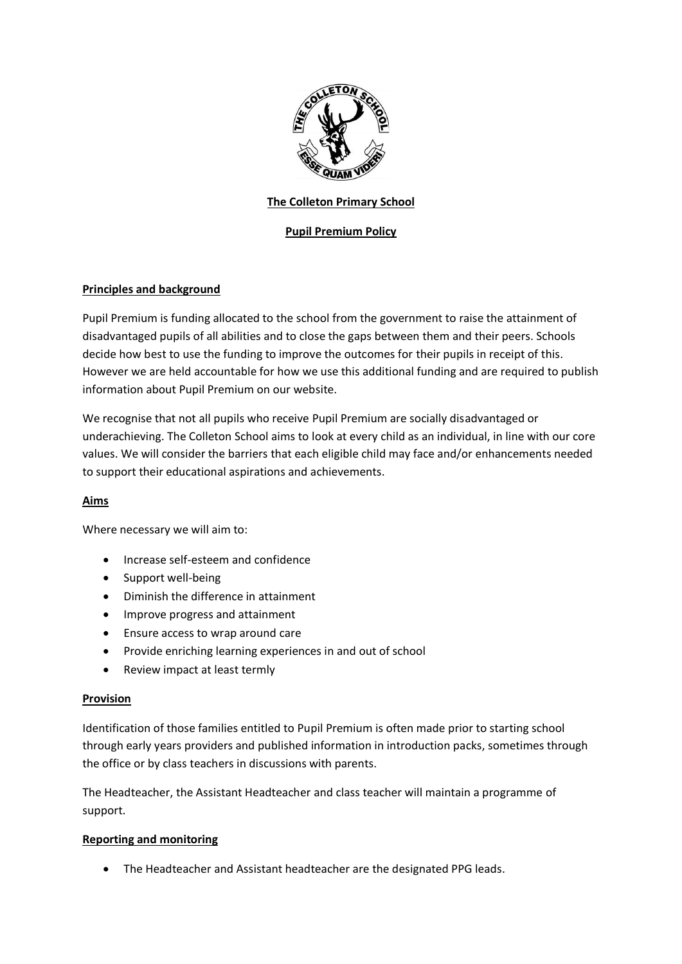

## **The Colleton Primary School**

# **Pupil Premium Policy**

# **Principles and background**

Pupil Premium is funding allocated to the school from the government to raise the attainment of disadvantaged pupils of all abilities and to close the gaps between them and their peers. Schools decide how best to use the funding to improve the outcomes for their pupils in receipt of this. However we are held accountable for how we use this additional funding and are required to publish information about Pupil Premium on our website.

We recognise that not all pupils who receive Pupil Premium are socially disadvantaged or underachieving. The Colleton School aims to look at every child as an individual, in line with our core values. We will consider the barriers that each eligible child may face and/or enhancements needed to support their educational aspirations and achievements.

### **Aims**

Where necessary we will aim to:

- Increase self-esteem and confidence
- Support well-being
- Diminish the difference in attainment
- Improve progress and attainment
- Ensure access to wrap around care
- Provide enriching learning experiences in and out of school
- Review impact at least termly

### **Provision**

Identification of those families entitled to Pupil Premium is often made prior to starting school through early years providers and published information in introduction packs, sometimes through the office or by class teachers in discussions with parents.

The Headteacher, the Assistant Headteacher and class teacher will maintain a programme of support.

### **Reporting and monitoring**

• The Headteacher and Assistant headteacher are the designated PPG leads.